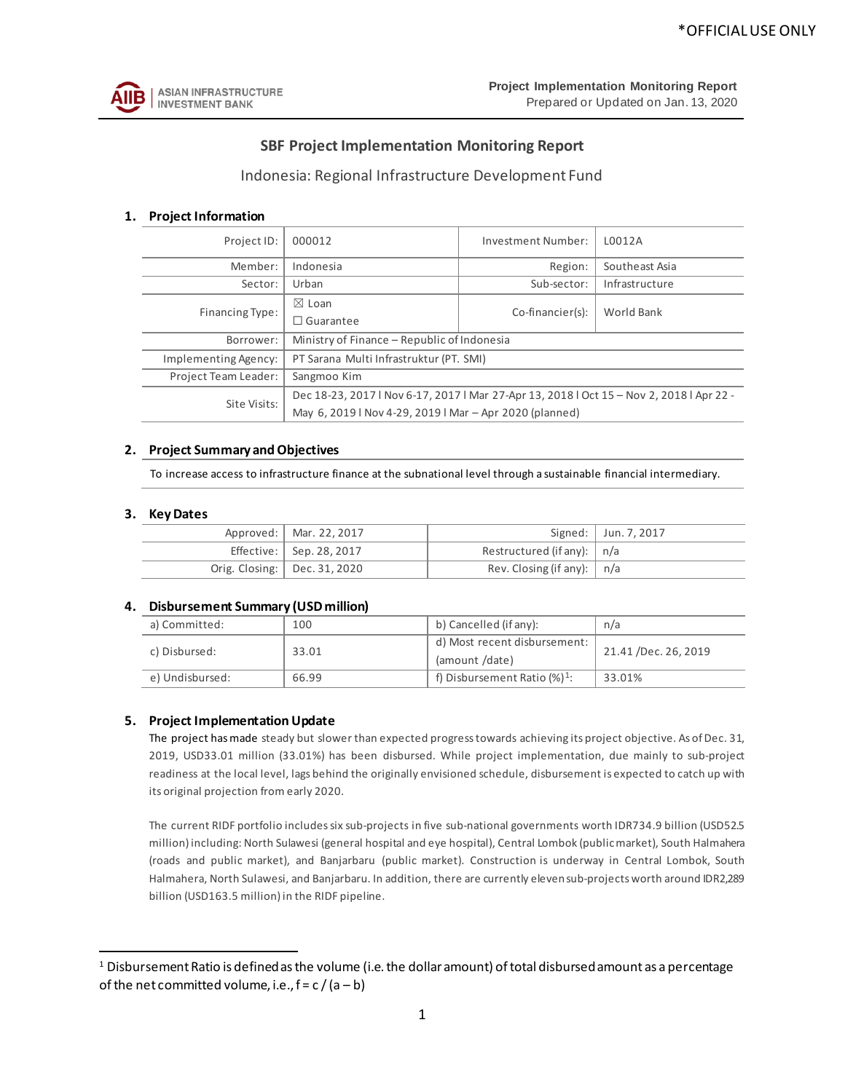

# **SBF Project Implementation Monitoring Report**

## Indonesia: Regional Infrastructure Development Fund

## **1. Project Information**

| Project ID:          | 000012                                                                                   | Investment Number:                      | L0012A         |  |  |  |  |  |  |  |
|----------------------|------------------------------------------------------------------------------------------|-----------------------------------------|----------------|--|--|--|--|--|--|--|
| Member:              | Indonesia                                                                                | Region:                                 | Southeast Asia |  |  |  |  |  |  |  |
| Sector:              | Urban                                                                                    | Sub-sector:                             | Infrastructure |  |  |  |  |  |  |  |
| Financing Type:      | $\boxtimes$ Loan                                                                         |                                         | World Bank     |  |  |  |  |  |  |  |
|                      | $\Box$ Guarantee                                                                         | Co-financier(s):                        |                |  |  |  |  |  |  |  |
| Borrower:            | Ministry of Finance – Republic of Indonesia                                              |                                         |                |  |  |  |  |  |  |  |
| Implementing Agency: |                                                                                          | PT Sarana Multi Infrastruktur (PT. SMI) |                |  |  |  |  |  |  |  |
| Project Team Leader: | Sangmoo Kim                                                                              |                                         |                |  |  |  |  |  |  |  |
| Site Visits:         | Dec 18-23, 2017   Nov 6-17, 2017   Mar 27-Apr 13, 2018   Oct 15 - Nov 2, 2018   Apr 22 - |                                         |                |  |  |  |  |  |  |  |
|                      | May 6, 2019   Nov 4-29, 2019   Mar - Apr 2020 (planned)                                  |                                         |                |  |  |  |  |  |  |  |

#### **2. Project Summary and Objectives**

To increase access to infrastructure finance at the subnational level through a sustainable financial intermediary.

#### **3. Key Dates**

| Approved:   Mar. 22, 2017        |                                   | Signed:   Jun. 7, 2017 |
|----------------------------------|-----------------------------------|------------------------|
| Effective: $\vert$ Sep. 28, 2017 | Restructured (if any): $ n/a $    |                        |
| Orig. Closing:   Dec. 31, 2020   | Rev. Closing (if any): $\mid n/a$ |                        |

#### **4. Disbursement Summary (USD million)**

| a) Committed:   | 100   | b) Cancelled (if any):                         | n/a                 |  |  |  |
|-----------------|-------|------------------------------------------------|---------------------|--|--|--|
| c) Disbursed:   | 33.01 | d) Most recent disbursement:<br>(amount /date) | 21.41/Dec. 26, 2019 |  |  |  |
| e) Undisbursed: | 66.99 | f) Disbursement Ratio $(\%)^1$ :               | 33.01%              |  |  |  |

## **5. Project Implementation Update**

The project has made steady but slower than expected progress towards achieving its project objective. As of Dec. 31, 2019, USD33.01 million (33.01%) has been disbursed. While project implementation, due mainly to sub-project readiness at the local level, lags behind the originally envisioned schedule, disbursement is expected to catch up with its original projection from early 2020.

The current RIDF portfolio includes six sub-projects in five sub-national governments worth IDR734.9 billion (USD52.5 million) including: North Sulawesi (general hospital and eye hospital), Central Lombok (public market), South Halmahera (roads and public market), and Banjarbaru (public market). Construction is underway in Central Lombok, South Halmahera, North Sulawesi, and Banjarbaru. In addition, there are currently elevensub-projects worth around IDR2,289 billion (USD163.5 million) in the RIDF pipeline.

<span id="page-0-0"></span> $1$  Disbursement Ratio is defined as the volume (i.e. the dollar amount) of total disbursed amount as a percentage of the net committed volume, i.e.,  $f = c / (a - b)$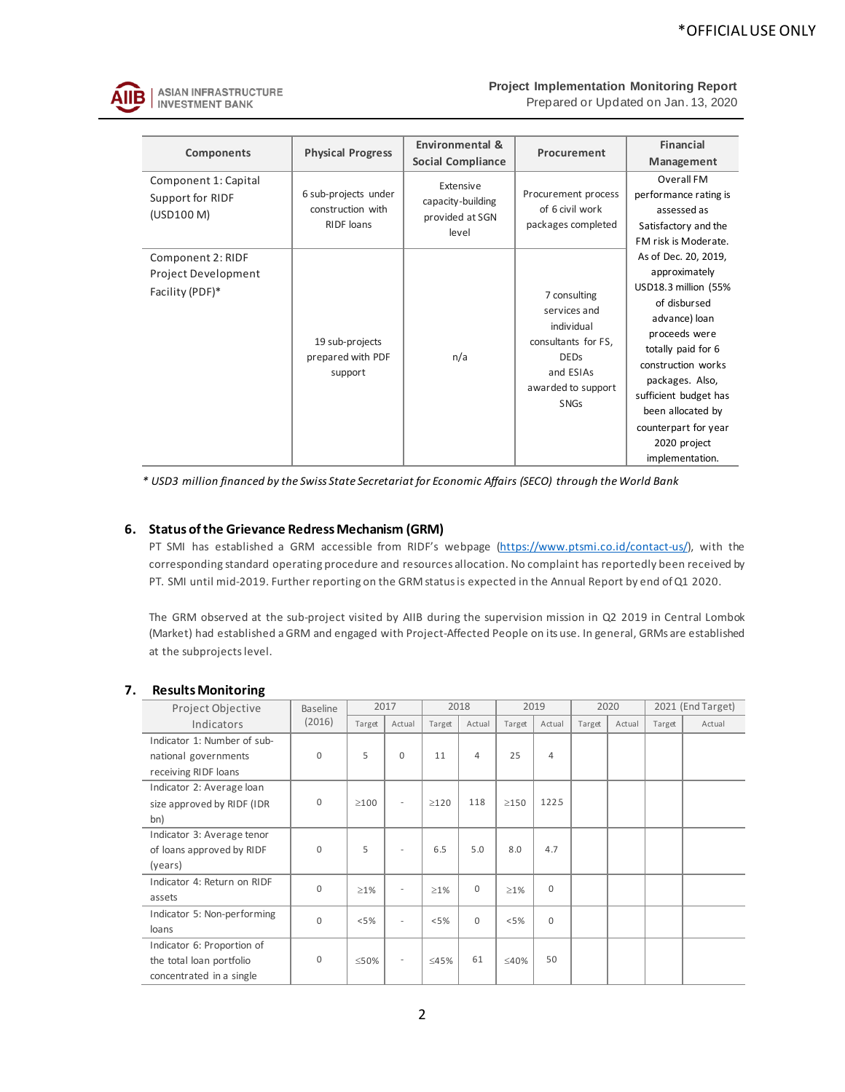

**ASIAN INFRASTRUCTURE INVESTMENT BANK** 

#### **Project Implementation Monitoring Report**

Prepared or Updated on Jan. 13, 2020

| Components                                                  | <b>Physical Progress</b>                                       | Environmental &<br><b>Social Compliance</b>                | Procurement                                                                                                                        | <b>Financial</b><br>Management                                                                                                                                                                                                                                                          |  |  |  |
|-------------------------------------------------------------|----------------------------------------------------------------|------------------------------------------------------------|------------------------------------------------------------------------------------------------------------------------------------|-----------------------------------------------------------------------------------------------------------------------------------------------------------------------------------------------------------------------------------------------------------------------------------------|--|--|--|
| Component 1: Capital<br>Support for RIDF<br>(USD100 M)      | 6 sub-projects under<br>construction with<br><b>RIDF</b> loans | Extensive<br>capacity-building<br>provided at SGN<br>level | Procurement process<br>of 6 civil work<br>packages completed                                                                       | Overall FM<br>performance rating is<br>assessed as<br>Satisfactory and the<br>FM risk is Moderate.                                                                                                                                                                                      |  |  |  |
| Component 2: RIDF<br>Project Development<br>Facility (PDF)* | 19 sub-projects<br>prepared with PDF<br>support                | n/a                                                        | 7 consulting<br>services and<br>individual<br>consultants for FS,<br><b>DEDs</b><br>and ESIAs<br>awarded to support<br><b>SNGs</b> | As of Dec. 20, 2019,<br>approximately<br>USD18.3 million (55%<br>of disbursed<br>advance) loan<br>proceeds were<br>totally paid for 6<br>construction works<br>packages. Also,<br>sufficient budget has<br>been allocated by<br>counterpart for year<br>2020 project<br>implementation. |  |  |  |

*\* USD3 million financed by the Swiss State Secretariat for Economic Affairs (SECO) through the World Bank*

## **6. Status of the Grievance Redress Mechanism (GRM)**

PT SMI has established a GRM accessible from RIDF's webpage [\(https://www.ptsmi.co.id/contact-us/\),](https://www.ptsmi.co.id/contact-us/) with the corresponding standard operating procedure and resources allocation. No complaint has reportedly been received by PT. SMI until mid-2019. Further reporting on the GRM status is expected in the Annual Report by end of Q1 2020.

The GRM observed at the sub-project visited by AIIB during the supervision mission in Q2 2019 in Central Lombok (Market) had established a GRM and engaged with Project-Affected People on its use. In general, GRMs are established at the subprojects level.

| Project Objective           | <b>Baseline</b> |            | 2017                     |            | 2018           |            | 2019           |        | 2020   |        | 2021 (End Target) |
|-----------------------------|-----------------|------------|--------------------------|------------|----------------|------------|----------------|--------|--------|--------|-------------------|
| Indicators                  | (2016)          | Target     | Actual                   | Target     | Actual         | Target     | Actual         | Target | Actual | Target | Actual            |
| Indicator 1: Number of sub- |                 |            |                          |            |                |            |                |        |        |        |                   |
| national governments        | $\Omega$        | 5          | $\mathbf 0$              | 11         | $\overline{4}$ | 25         | $\overline{4}$ |        |        |        |                   |
| receiving RIDF loans        |                 |            |                          |            |                |            |                |        |        |        |                   |
| Indicator 2: Average loan   |                 |            |                          |            |                |            |                |        |        |        |                   |
| size approved by RIDF (IDR  | $\mathbf{0}$    | $\geq$ 100 | ٠                        | $\geq$ 120 | 118            | $\geq$ 150 | 1225           |        |        |        |                   |
| bn)                         |                 |            |                          |            |                |            |                |        |        |        |                   |
| Indicator 3: Average tenor  |                 |            |                          |            |                |            |                |        |        |        |                   |
| of loans approved by RIDF   | $\Omega$        | 5          |                          | 6.5        | 5.0            | 8.0        | 4.7            |        |        |        |                   |
| (years)                     |                 |            |                          |            |                |            |                |        |        |        |                   |
| Indicator 4: Return on RIDF | $\mathbf 0$     | $\geq$ 1%  | $\overline{\phantom{a}}$ | $\geq$ 1%  | $\mathbf{0}$   | $\geq$ 1%  | $\mathbf 0$    |        |        |        |                   |
| assets                      |                 |            |                          |            |                |            |                |        |        |        |                   |
| Indicator 5: Non-performing | $\Omega$        | < 5%       | ٠                        | < 5%       | $\Omega$       | < 5%       | $\mathbf 0$    |        |        |        |                   |
| loans                       |                 |            |                          |            |                |            |                |        |        |        |                   |
| Indicator 6: Proportion of  |                 |            |                          |            |                |            |                |        |        |        |                   |
| the total loan portfolio    | $\mathbf{0}$    | ≤50%       |                          | ≤45%       | 61             | ≤40%       | 50             |        |        |        |                   |
| concentrated in a single    |                 |            |                          |            |                |            |                |        |        |        |                   |

## **7. Results Monitoring**